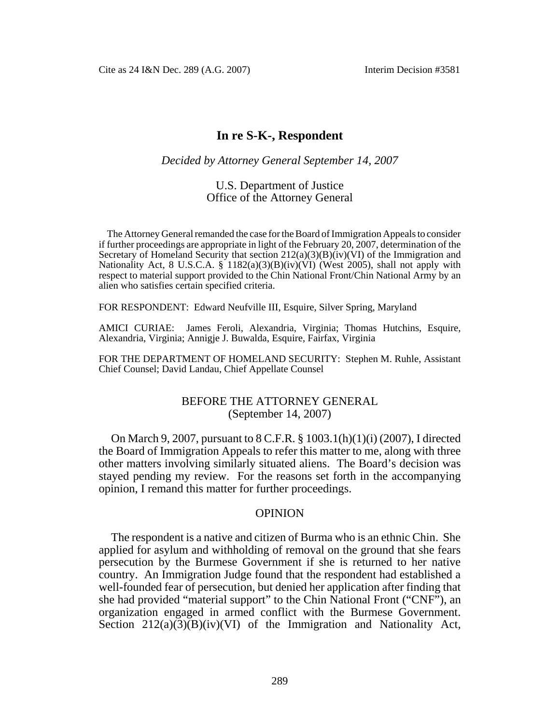Cite as 24 I&N Dec. 289 (A.G. 2007) Interim Decision #3581

# **In re S-K-, Respondent**

### *Decided by Attorney General September 14, 2007*

### U.S. Department of Justice Office of the Attorney General

The Attorney General remanded the case for the Board of Immigration Appeals to consider if further proceedings are appropriate in light of the February 20, 2007, determination of the Secretary of Homeland Security that section  $212(a)(3)(B)(iv)(VI)$  of the Immigration and Nationality Act, 8 U.S.C.A.  $\S$  1182(a)(3)(B)(iv)(VI) (West 2005), shall not apply with respect to material support provided to the Chin National Front/Chin National Army by an alien who satisfies certain specified criteria.

FOR RESPONDENT: Edward Neufville III, Esquire, Silver Spring, Maryland

AMICI CURIAE: James Feroli, Alexandria, Virginia; Thomas Hutchins, Esquire, Alexandria, Virginia; Annigje J. Buwalda, Esquire, Fairfax, Virginia

FOR THE DEPARTMENT OF HOMELAND SECURITY: Stephen M. Ruhle, Assistant Chief Counsel; David Landau, Chief Appellate Counsel

## BEFORE THE ATTORNEY GENERAL (September 14, 2007)

On March 9, 2007, pursuant to 8 C.F.R. § 1003.1(h)(1)(i) (2007), I directed the Board of Immigration Appeals to refer this matter to me, along with three other matters involving similarly situated aliens. The Board's decision was stayed pending my review. For the reasons set forth in the accompanying opinion, I remand this matter for further proceedings.

#### OPINION

The respondent is a native and citizen of Burma who is an ethnic Chin. She applied for asylum and withholding of removal on the ground that she fears persecution by the Burmese Government if she is returned to her native country. An Immigration Judge found that the respondent had established a well-founded fear of persecution, but denied her application after finding that she had provided "material support" to the Chin National Front ("CNF"), an organization engaged in armed conflict with the Burmese Government. Section  $212(a)(3)(B)(iv)(VI)$  of the Immigration and Nationality Act,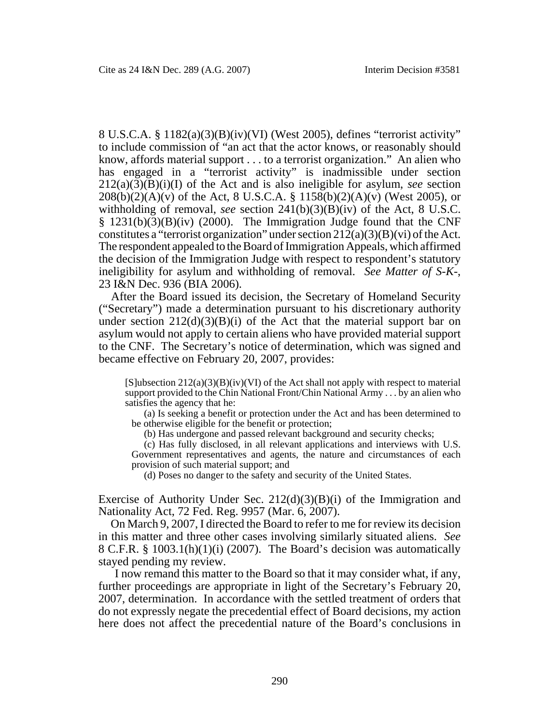8 U.S.C.A. § 1182(a)(3)(B)(iv)(VI) (West 2005), defines "terrorist activity" to include commission of "an act that the actor knows, or reasonably should know, affords material support . . . to a terrorist organization." An alien who has engaged in a "terrorist activity" is inadmissible under section  $212(a)(3)(B)(i)(I)$  of the Act and is also ineligible for asylum, *see* section  $208(b)(2)(A)(v)$  of the Act, 8 U.S.C.A. § 1158(b)(2)(A)(v) (West 2005), or withholding of removal, *see* section 241(b)(3)(B)(iv) of the Act, 8 U.S.C.  $§$  1231(b)(3)(B)(iv) (2000). The Immigration Judge found that the CNF constitutes a "terrorist organization" under section  $212(a)(3)(B)(vi)$  of the Act. The respondent appealed to the Board of Immigration Appeals, which affirmed the decision of the Immigration Judge with respect to respondent's statutory ineligibility for asylum and withholding of removal. *See Matter of S-K-*, 23 I&N Dec. 936 (BIA 2006).

After the Board issued its decision, the Secretary of Homeland Security ("Secretary") made a determination pursuant to his discretionary authority under section  $212(d)(3)(B)(i)$  of the Act that the material support bar on asylum would not apply to certain aliens who have provided material support to the CNF. The Secretary's notice of determination, which was signed and became effective on February 20, 2007, provides:

 $[S]$ ubsection  $212(a)(3)(B)(iv)(VI)$  of the Act shall not apply with respect to material support provided to the Chin National Front/Chin National Army . . . by an alien who satisfies the agency that he:

(a) Is seeking a benefit or protection under the Act and has been determined to be otherwise eligible for the benefit or protection;

(b) Has undergone and passed relevant background and security checks;

(c) Has fully disclosed, in all relevant applications and interviews with U.S. Government representatives and agents, the nature and circumstances of each provision of such material support; and

(d) Poses no danger to the safety and security of the United States.

Exercise of Authority Under Sec.  $212(d)(3)(B)(i)$  of the Immigration and Nationality Act, 72 Fed. Reg. 9957 (Mar. 6, 2007).

On March 9, 2007, I directed the Board to refer to me for review its decision in this matter and three other cases involving similarly situated aliens. *See* 8 C.F.R. § 1003.1(h)(1)(i) (2007). The Board's decision was automatically stayed pending my review.

I now remand this matter to the Board so that it may consider what, if any, further proceedings are appropriate in light of the Secretary's February 20, 2007, determination. In accordance with the settled treatment of orders that do not expressly negate the precedential effect of Board decisions, my action here does not affect the precedential nature of the Board's conclusions in